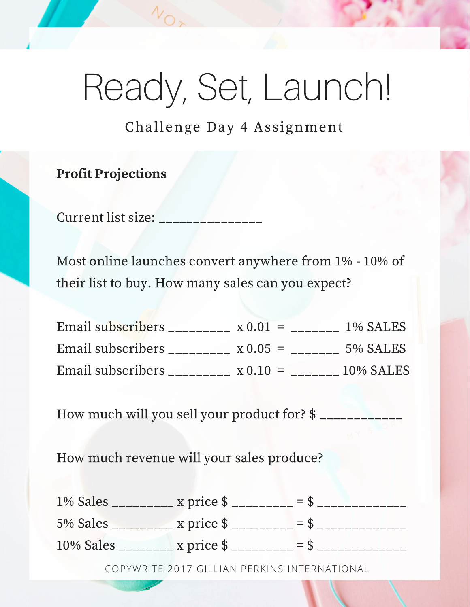# Ready, Set, Launch!

Challenge Day 4 Assignment

#### Profit Projections

Current list size:

Most online launches convert anywhere from 1% - 10% of their list to buy. How many sales can you expect?

| Email subscribers _________ | $\propto 0.01$ =      | 1% SALES    |
|-----------------------------|-----------------------|-------------|
| Email subscribers _________ | $x 0.05 =$            | $5\%$ SALES |
| Email subscribers ________  | $x 0.10 = 10\% SALES$ |             |

How much will you sell your product for? \$ \_\_\_\_\_\_\_\_\_\_

How much revenue will your sales produce?

COPYWRITE 2017 GILLIAN PERKINS INTERNATIONAL 1% Sales \_\_\_\_\_\_\_\_\_ x price \$ \_\_\_\_\_\_\_\_\_ = \$ \_\_\_\_\_\_\_\_\_\_\_\_\_ 5% Sales \_\_\_\_\_\_\_\_\_ x price \$ \_\_\_\_\_\_\_\_\_ = \$ \_\_\_\_\_\_\_\_\_\_\_\_\_ 10% Sales \_\_\_\_\_\_\_\_ x price  $\frac{10\%}{2}$  =  $\frac{10\%}{2}$  =  $\frac{10\%}{2}$  =  $\frac{10\%}{2}$  =  $\frac{10\%}{2}$  =  $\frac{10\%}{2}$  =  $\frac{10\%}{2}$  =  $\frac{10\%}{2}$  =  $\frac{10\%}{2}$  =  $\frac{10\%}{2}$  =  $\frac{10\%}{2}$  =  $\frac{10\%}{2}$  =  $\frac{10\%}{2}$  =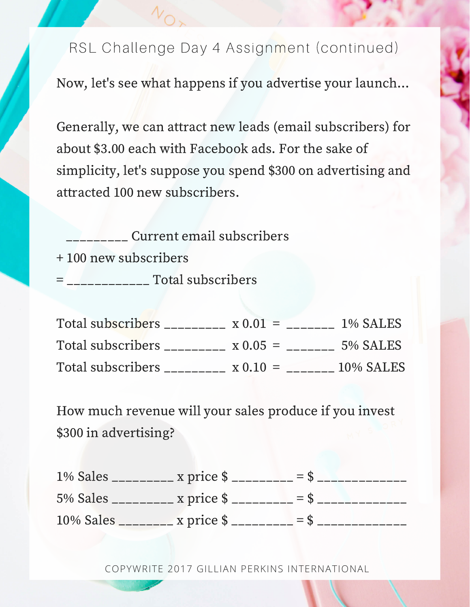Now, let's see what happens if you advertise your launch...

Generally, we can attract new leads (email subscribers) for about \$3.00 each with Facebook ads. For the sake of simplicity, let's suppose you spend \$300 on advertising and attracted 100 new subscribers.

\_\_\_\_\_\_\_\_\_ Current email subscribers

+ 100 new subscribers

 $=$   $\frac{1}{2}$   $\frac{1}{2}$   $\frac{1}{2}$   $\frac{1}{2}$   $\frac{1}{2}$   $\frac{1}{2}$   $\frac{1}{2}$   $\frac{1}{2}$   $\frac{1}{2}$   $\frac{1}{2}$   $\frac{1}{2}$   $\frac{1}{2}$   $\frac{1}{2}$   $\frac{1}{2}$   $\frac{1}{2}$   $\frac{1}{2}$   $\frac{1}{2}$   $\frac{1}{2}$   $\frac{1}{2}$   $\frac{1}{2}$   $\frac{1}{2}$   $\frac{1}{2$ 

| Total subscribers              | $x 0.01 =$    | 1% SALES  |
|--------------------------------|---------------|-----------|
| Total subscribers <b>Total</b> | $\chi$ 0.05 = | 5% SALES  |
| Total subscribers _            | $x 0.10 =$    | 10% SALES |

How much revenue will your sales produce if you invest \$300 in advertising?

| 1% Sales __________ x price $\frac{1}{2}$ _________ = \$  |  |
|-----------------------------------------------------------|--|
| 5% Sales __________ x price $\frac{1}{2}$ _________ = \$. |  |
|                                                           |  |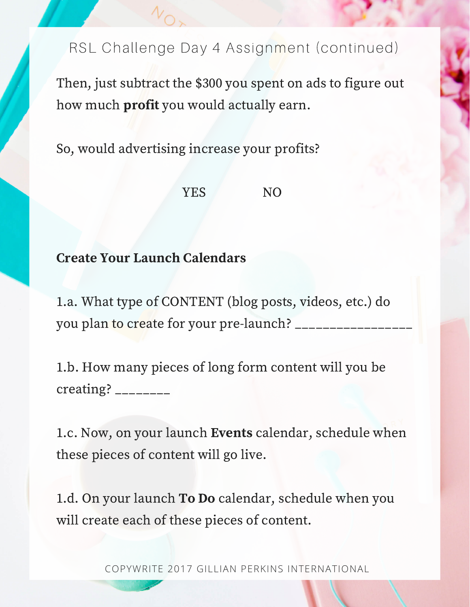Then, just subtract the \$300 you spent on ads to figure out how much profit you would actually earn.

So, would advertising increase your profits?

#### YES NO

### Create Your Launch Calendars

1.a. What type of CONTENT (blog posts, videos, etc.) do you plan to create for your pre-launch? \_\_\_\_\_\_\_\_\_\_\_\_\_\_\_\_\_

1.b. How many pieces of long form content will you be creating?  $\frac{1}{2}$ 

1.c. Now, on your launch Events calendar, schedule when these pieces of content will go live.

1.d. On your launch To Do calendar, schedule when you will create each of these pieces of content.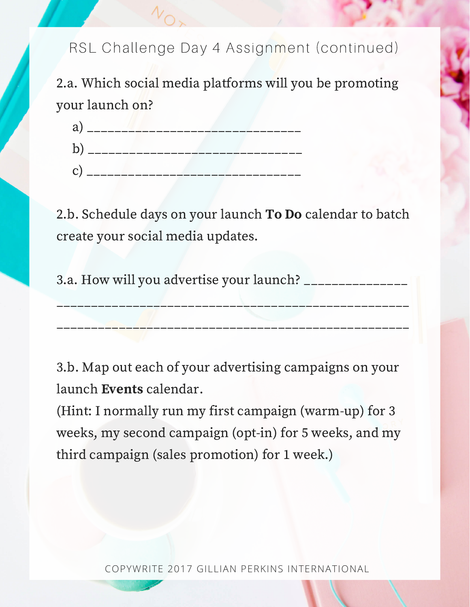2.a. Which social media platforms will you be promoting your launch on?



2.b. Schedule days on your launch To Do calendar to batch create your social media updates.

3.a. How will you advertise your launch? \_\_\_\_\_\_\_\_\_\_\_\_\_\_\_

3.b. Map out each of your advertising campaigns on your launch Events calendar.

(Hint: I normally run my first campaign (warm-up) for 3 weeks, my second campaign (opt-in) for 5 weeks, and my third campaign (sales promotion) for 1 week.)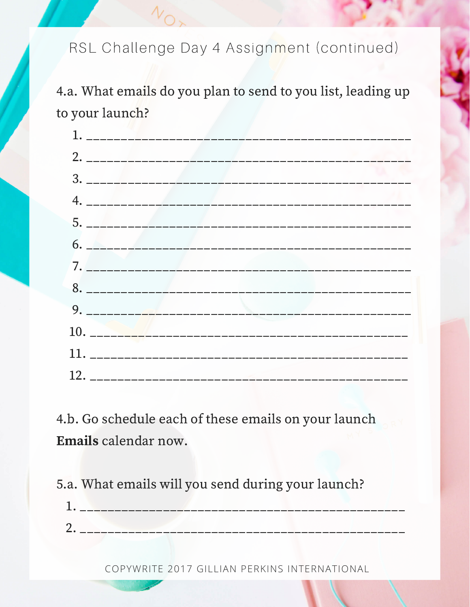4.a. What emails do you plan to send to you list, leading up to your launch?

4.b. Go schedule each of these emails on your launch Emails calendar now.

5.a. What emails will you send during your launch?

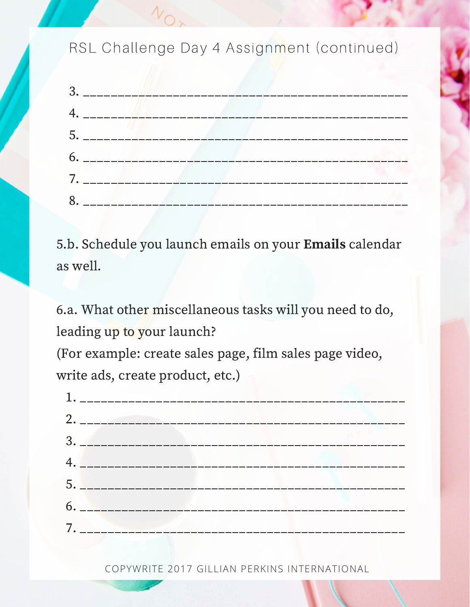

5.b. Schedule you launch emails on your Emails calendar as well.

6.a. What other miscellaneous tasks will you need to do, leading up to your launch?

(For example: create sales page, film sales page video, write ads, create product, etc.)